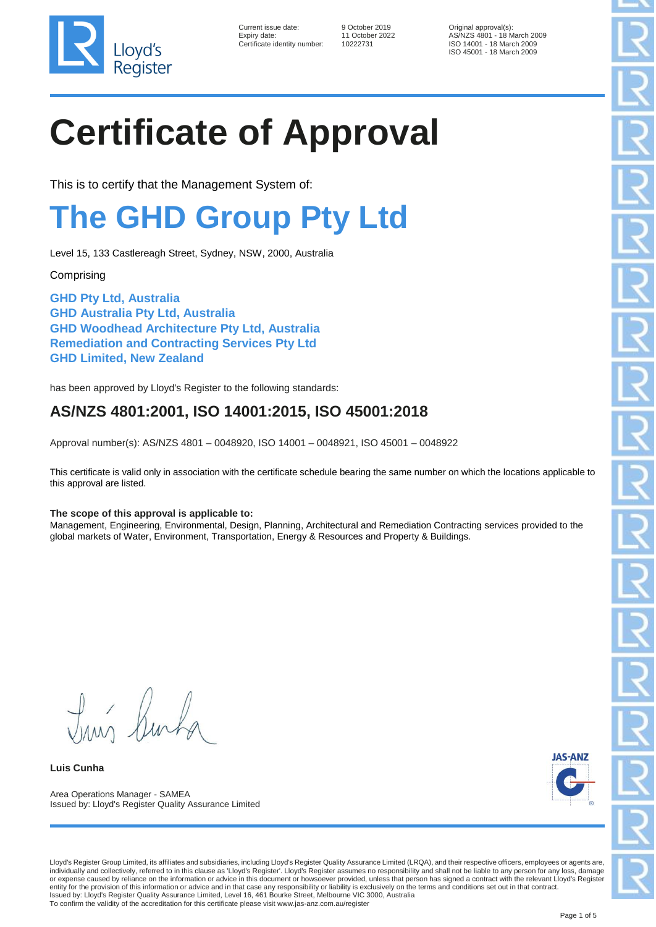

| Current issue date:        |
|----------------------------|
| Expiry date:               |
| Certificate identity numbe |

er: 10222731

9 October 2019 **Original approval(s)**: Expiry date: 11 October 2022 AS/NZS 4801 - 18 March 2009 ISO 14001 - 18 March 2009 ISO 45001 - 18 March 2009

# **Certificate of Approval**

This is to certify that the Management System of:

### **The GHD Group Pty Ltd**

Level 15, 133 Castlereagh Street, Sydney, NSW, 2000, Australia

**Comprising** 

**GHD Pty Ltd, Australia GHD Australia Pty Ltd, Australia GHD Woodhead Architecture Pty Ltd, Australia Remediation and Contracting Services Pty Ltd GHD Limited, New Zealand**

has been approved by Lloyd's Register to the following standards:

### **AS/NZS 4801:2001, ISO 14001:2015, ISO 45001:2018**

Approval number(s): AS/NZS 4801 – 0048920, ISO 14001 – 0048921, ISO 45001 – 0048922

This certificate is valid only in association with the certificate schedule bearing the same number on which the locations applicable to this approval are listed.

#### **The scope of this approval is applicable to:**

Management, Engineering, Environmental, Design, Planning, Architectural and Remediation Contracting services provided to the global markets of Water, Environment, Transportation, Energy & Resources and Property & Buildings.

Tim Runt

**Luis Cunha**

Area Operations Manager - SAMEA Issued by: Lloyd's Register Quality Assurance Limited



Lloyd's Register Group Limited, its affiliates and subsidiaries, including Lloyd's Register Quality Assurance Limited (LRQA), and their respective officers, employees or agents are, individually and collectively, referred to in this clause as 'Lloyd's Register'. Lloyd's Register assumes no responsibility and shall not be liable to any person for any loss, damage or expense caused by reliance on the information or advice in this document or howsoever provided, unless that person has signed a contract with the relevant Lloyd's Register<br>entity for the provision of this information or Issued by: Lloyd's Register Quality Assurance Limited, Level 16, 461 Bourke Street, Melbourne VIC 3000, Australia To confirm the validity of the accreditation for this certificate please visit www.jas-anz.com.au/register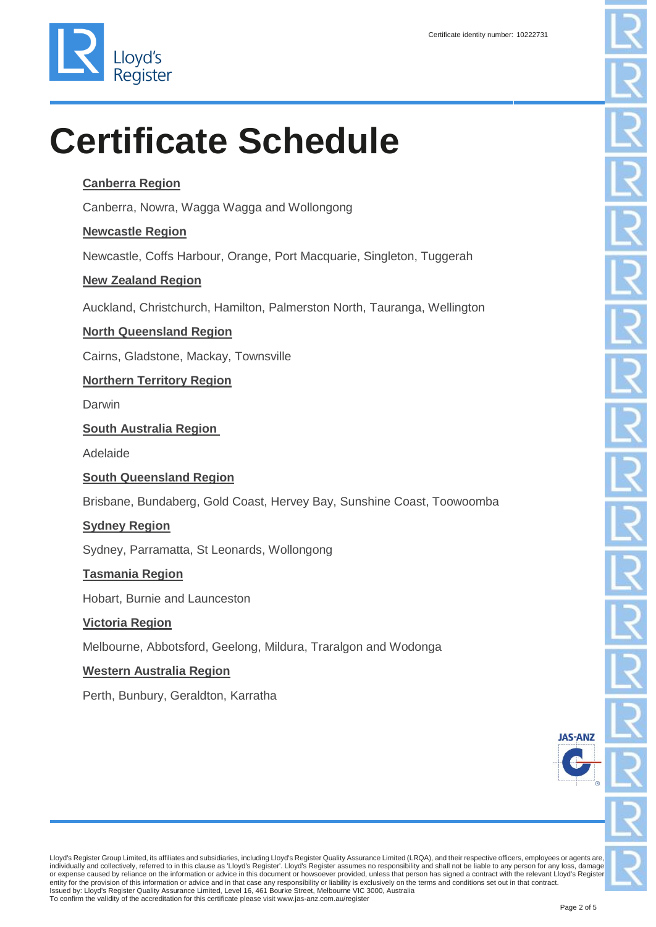

### **Canberra Region**

Canberra, Nowra, Wagga Wagga and Wollongong

### **Newcastle Region**

Newcastle, Coffs Harbour, Orange, Port Macquarie, Singleton, Tuggerah

### **New Zealand Region**

Auckland, Christchurch, Hamilton, Palmerston North, Tauranga, Wellington

### **North Queensland Region**

Cairns, Gladstone, Mackay, Townsville

### **Northern Territory Region**

Darwin

### **South Australia Region**

Adelaide

### **South Queensland Region**

Brisbane, Bundaberg, Gold Coast, Hervey Bay, Sunshine Coast, Toowoomba

### **Sydney Region**

Sydney, Parramatta, St Leonards, Wollongong

#### **Tasmania Region**

Hobart, Burnie and Launceston

#### **Victoria Region**

Melbourne, Abbotsford, Geelong, Mildura, Traralgon and Wodonga

#### **Western Australia Region**

Perth, Bunbury, Geraldton, Karratha

Lloyd's Register Group Limited, its affiliates and subsidiaries, including Lloyd's Register Quality Assurance Limited (LRQA), and their respective officers, employees or agents are,<br>individually and collectively, referred or expense caused by reliance on the information or advice in this document or howsoever provided, unless that person has signed a contract with the relevant Lloyd's Register entity for the provision of this information or advice and in that case any responsibility or liability is exclusively on the terms and conditions set out in that contract.<br>Issued by: Lloyd's Register Quality Assurance Lim To confirm the validity of the accreditation for this certificate please visit www.jas-anz.com.au/register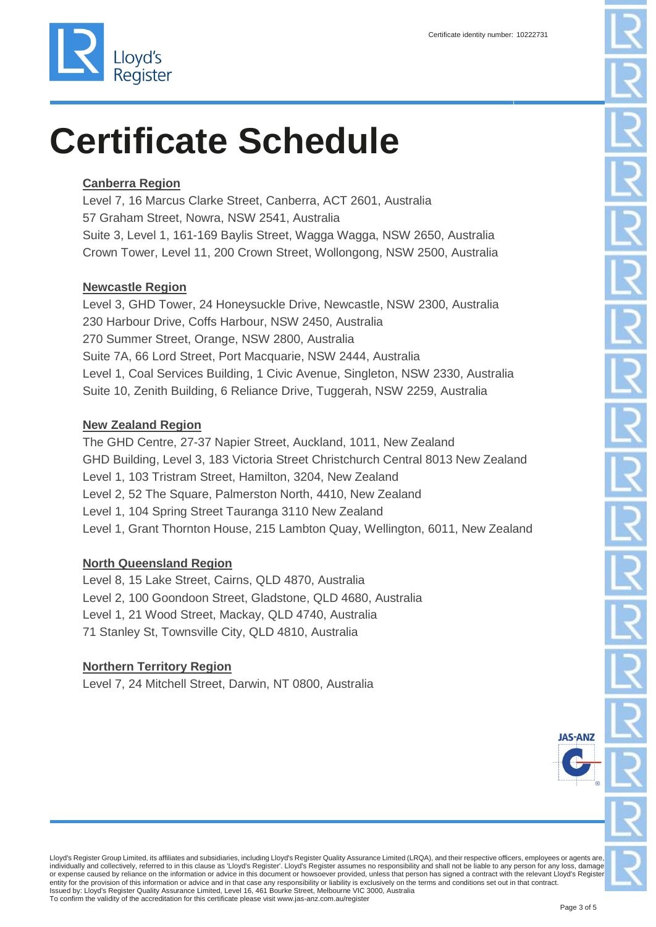

### **Canberra Region**

Level 7, 16 Marcus Clarke Street, Canberra, ACT 2601, Australia 57 Graham Street, Nowra, NSW 2541, Australia Suite 3, Level 1, 161-169 Baylis Street, Wagga Wagga, NSW 2650, Australia Crown Tower, Level 11, 200 Crown Street, Wollongong, NSW 2500, Australia

### **Newcastle Region**

Level 3, GHD Tower, 24 Honeysuckle Drive, Newcastle, NSW 2300, Australia 230 Harbour Drive, Coffs Harbour, NSW 2450, Australia 270 Summer Street, Orange, NSW 2800, Australia Suite 7A, 66 Lord Street, Port Macquarie, NSW 2444, Australia Level 1, Coal Services Building, 1 Civic Avenue, Singleton, NSW 2330, Australia Suite 10, Zenith Building, 6 Reliance Drive, Tuggerah, NSW 2259, Australia

#### **New Zealand Region**

The GHD Centre, 27-37 Napier Street, Auckland, 1011, New Zealand GHD Building, Level 3, 183 Victoria Street Christchurch Central 8013 New Zealand Level 1, 103 Tristram Street, Hamilton, 3204, New Zealand Level 2, 52 The Square, Palmerston North, 4410, New Zealand Level 1, 104 Spring Street Tauranga 3110 New Zealand Level 1, Grant Thornton House, 215 Lambton Quay, Wellington, 6011, New Zealand

### **North Queensland Region**

Level 8, 15 Lake Street, Cairns, QLD 4870, Australia Level 2, 100 Goondoon Street, Gladstone, QLD 4680, Australia Level 1, 21 Wood Street, Mackay, QLD 4740, Australia 71 Stanley St, Townsville City, QLD 4810, Australia

### **Northern Territory Region**

Level 7, 24 Mitchell Street, Darwin, NT 0800, Australia

**IA S-AN**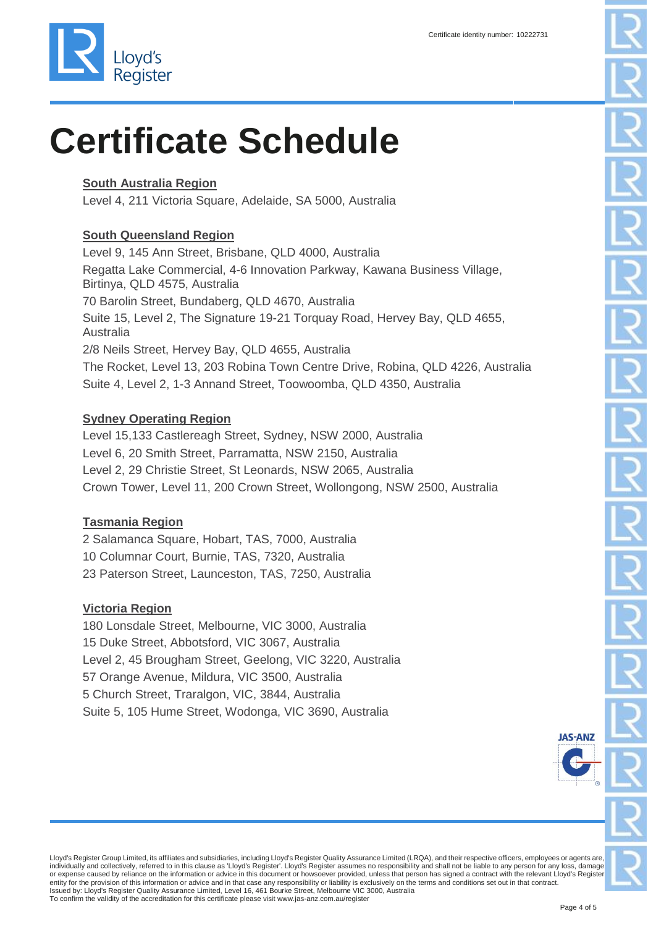### **South Australia Region**

Level 4, 211 Victoria Square, Adelaide, SA 5000, Australia

### **South Queensland Region**

Level 9, 145 Ann Street, Brisbane, QLD 4000, Australia Regatta Lake Commercial, 4-6 Innovation Parkway, Kawana Business Village, Birtinya, QLD 4575, Australia 70 Barolin Street, Bundaberg, QLD 4670, Australia Suite 15, Level 2, The Signature 19-21 Torquay Road, Hervey Bay, QLD 4655, Australia 2/8 Neils Street, Hervey Bay, QLD 4655, Australia The Rocket, Level 13, 203 Robina Town Centre Drive, Robina, QLD 4226, Australia Suite 4, Level 2, 1-3 Annand Street, Toowoomba, QLD 4350, Australia

### **Sydney Operating Region**

Level 15,133 Castlereagh Street, Sydney, NSW 2000, Australia Level 6, 20 Smith Street, Parramatta, NSW 2150, Australia Level 2, 29 Christie Street, St Leonards, NSW 2065, Australia Crown Tower, Level 11, 200 Crown Street, Wollongong, NSW 2500, Australia

### **Tasmania Region**

2 Salamanca Square, Hobart, TAS, 7000, Australia 10 Columnar Court, Burnie, TAS, 7320, Australia 23 Paterson Street, Launceston, TAS, 7250, Australia

### **Victoria Region**

180 Lonsdale Street, Melbourne, VIC 3000, Australia 15 Duke Street, Abbotsford, VIC 3067, Australia Level 2, 45 Brougham Street, Geelong, VIC 3220, Australia 57 Orange Avenue, Mildura, VIC 3500, Australia 5 Church Street, Traralgon, VIC, 3844, Australia Suite 5, 105 Hume Street, Wodonga, VIC 3690, Australia

Lloyd's Register Group Limited, its affiliates and subsidiaries, including Lloyd's Register Quality Assurance Limited (LRQA), and their respective officers, employees or agents are, individually and collectively, referred to in this clause as 'Lloyd's Register'. Lloyd's Register assumes no responsibility and shall not be liable to any person for any loss, damage or expense caused by reliance on the information or advice in this document or howsoever provided, unless that person has signed a contract with the relevant Lloyd's Register entity for the provision of this information or advice and in that case any responsibility or liability is exclusively on the terms and conditions set out in that contract.<br>Issued by: Lloyd's Register Quality Assurance Lim To confirm the validity of the accreditation for this certificate please visit www.jas-anz.com.au/register